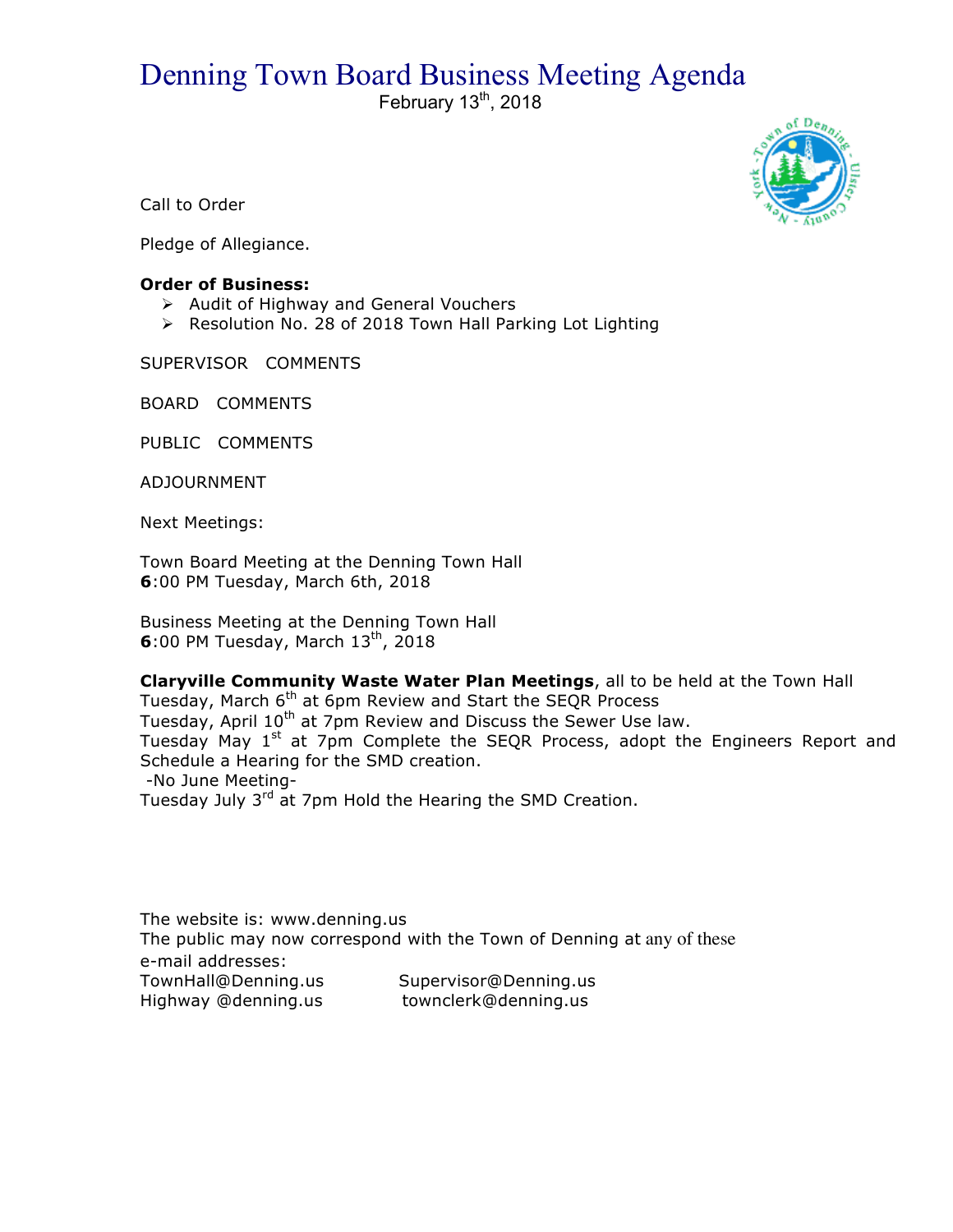## Denning Town Board Business Meeting Agenda<br>February 13<sup>th</sup>, 2018



Call to Order

Pledge of Allegiance.

## **Order of Business:**

- $\triangleright$  Audit of Highway and General Vouchers
- > Resolution No. 28 of 2018 Town Hall Parking Lot Lighting

SUPERVISOR COMMENTS

BOARD COMMENTS

PUBLIC COMMENTS

ADJOURNMENT

Next Meetings:

Town Board Meeting at the Denning Town Hall **6**:00 PM Tuesday, March 6th, 2018

Business Meeting at the Denning Town Hall **6**:00 PM Tuesday, March 13<sup>th</sup>, 2018

**Claryville Community Waste Water Plan Meetings**, all to be held at the Town Hall Tuesday, March 6<sup>th</sup> at 6pm Review and Start the SEQR Process Tuesday, April 10<sup>th</sup> at 7pm Review and Discuss the Sewer Use law. Tuesday May 1<sup>st</sup> at 7pm Complete the SEQR Process, adopt the Engineers Report and Schedule a Hearing for the SMD creation. -No June Meeting-Tuesday July 3<sup>rd</sup> at 7pm Hold the Hearing the SMD Creation.

The website is: www.denning.us The public may now correspond with the Town of Denning at any of these e-mail addresses: TownHall@Denning.us Supervisor@Denning.us Highway @denning.us townclerk@denning.us